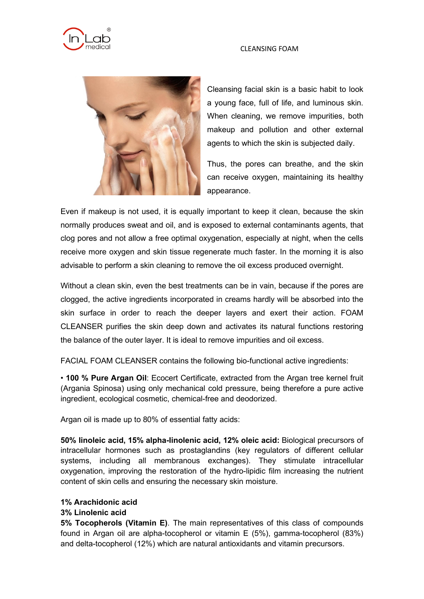### CLEANSING FOAM





Cleansing facial skin is a basic habit to look a young face, full of life, and luminous skin. When cleaning, we remove impurities, both makeup and pollution and other external agents to which the skin is subjected daily.

Thus, the pores can breathe, and the skin can receive oxygen, maintaining its healthy appearance.

Even if makeup is not used, it is equally important to keep it clean, because the skin normally produces sweat and oil, and is exposed to external contaminants agents, that clog pores and not allow a free optimal oxygenation, especially at night, when the cells receive more oxygen and skin tissue regenerate much faster. In the morning it is also advisable to perform a skin cleaning to remove the oil excess produced overnight.

Without a clean skin, even the best treatments can be in vain, because if the pores are clogged, the active ingredients incorporated in creams hardly will be absorbed into the skin surface in order to reach the deeper layers and exert their action. FOAM CLEANSER purifies the skin deep down and activates its natural functions restoring the balance of the outer layer. It is ideal to remove impurities and oil excess.

FACIAL FOAM CLEANSER contains the following bio-functional active ingredients:

• **100 % Pure Argan Oil**: Ecocert Certificate, extracted from the Argan tree kernel fruit (Argania Spinosa) using only mechanical cold pressure, being therefore a pure active ingredient, ecological cosmetic, chemical-free and deodorized.

Argan oil is made up to 80% of essential fatty acids:

**50% linoleic acid, 15% alpha-linolenic acid, 12% oleic acid:** Biological precursors of intracellular hormones such as prostaglandins (key regulators of different cellular systems, including all membranous exchanges). They stimulate intracellular oxygenation, improving the restoration of the hydro-lipidic film increasing the nutrient content of skin cells and ensuring the necessary skin moisture.

# **1% Arachidonic acid**

## **3% Linolenic acid**

**5% Tocopherols (Vitamin E)**. The main representatives of this class of compounds found in Argan oil are alpha-tocopherol or vitamin E (5%), gamma-tocopherol (83%) and delta-tocopherol (12%) which are natural antioxidants and vitamin precursors.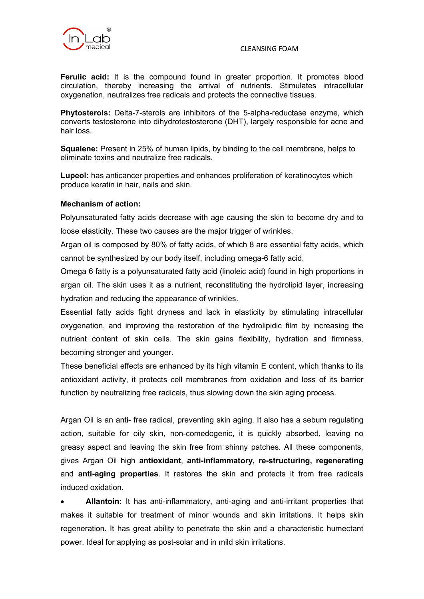

#### CLEANSING FOAM

Ferulic acid: It is the compound found in greater proportion. It promotes blood circulation, thereby increasing the arrival of nutrients. Stimulates intracellular oxygenation, neutralizes free radicals and protects the connective tissues.

**Phytosterols:** Delta-7-sterols are inhibitors of the 5-alpha-reductase enzyme, which converts testosterone into dihydrotestosterone (DHT), largely responsible for acne and hair loss.

**Squalene:** Present in 25% of human lipids, by binding to the cell membrane, helps to eliminate toxins and neutralize free radicals.

**Lupeol:** has anticancer properties and enhances proliferation of keratinocytes which produce keratin in hair, nails and skin.

## **Mechanism of action:**

Polyunsaturated fatty acids decrease with age causing the skin to become dry and to loose elasticity. These two causes are the major trigger of wrinkles.

Argan oil is composed by 80% of fatty acids, of which 8 are essential fatty acids, which cannot be synthesized by our body itself, including omega-6 fatty acid.

Omega 6 fatty is a polyunsaturated fatty acid (linoleic acid) found in high proportions in argan oil. The skin uses it as a nutrient, reconstituting the hydrolipid layer, increasing hydration and reducing the appearance of wrinkles.

Essential fatty acids fight dryness and lack in elasticity by stimulating intracellular oxygenation, and improving the restoration of the hydrolipidic film by increasing the nutrient content of skin cells. The skin gains flexibility, hydration and firmness, becoming stronger and younger.

These beneficial effects are enhanced by its high vitamin E content, which thanks to its antioxidant activity, it protects cell membranes from oxidation and loss of its barrier function by neutralizing free radicals, thus slowing down the skin aging process.

Argan Oil is an anti- free radical, preventing skin aging. It also has a sebum regulating action, suitable for oily skin, non-comedogenic, it is quickly absorbed, leaving no greasy aspect and leaving the skin free from shinny patches. All these components, gives Argan Oil high **antioxidant**, **anti-inflammatory, re-structuring, regenerating** and **anti-aging properties**. It restores the skin and protects it from free radicals induced oxidation.

• **Allantoin:** It has anti-inflammatory, anti-aging and anti-irritant properties that makes it suitable for treatment of minor wounds and skin irritations. It helps skin regeneration. It has great ability to penetrate the skin and a characteristic humectant power. Ideal for applying as post-solar and in mild skin irritations.